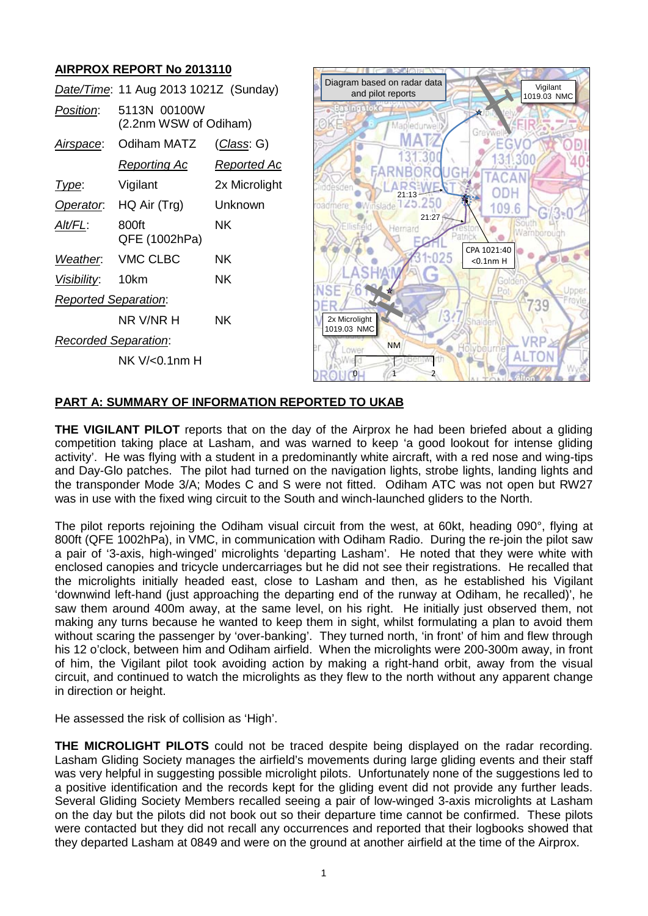# **AIRPROX REPORT No 2013110**

| Date/Time: 11 Aug 2013 1021Z (Sunday) |                                       |                    | Diagram based on rad<br>and pilot report               |
|---------------------------------------|---------------------------------------|--------------------|--------------------------------------------------------|
| Position:                             | 5113N 00100W<br>(2.2nm WSW of Odiham) |                    | <b>Easingstoke</b>                                     |
| <u>Airspace:</u>                      | Odiham MATZ                           | <u>(Class</u> : G) |                                                        |
|                                       | <u>Reporting Ac</u>                   | <u>Reported Ac</u> |                                                        |
| Type:                                 | Vigilant                              | 2x Microlight      | desden<br>21:1                                         |
| Operator.                             | HQ Air (Trg)                          | Unknown            | <b>O</b> Winslade <sup>1</sup><br>oadmere <sup>®</sup> |
| Alt/FL:                               | 800ft<br>QFE (1002hPa)                | NK.                | Ellisfield<br>Herna                                    |
| Weather.                              | <b>VMC CLBC</b>                       | NK.                |                                                        |
| Visibility:                           | 10km                                  | NK.                |                                                        |
| <b>Reported Separation:</b>           |                                       |                    |                                                        |
|                                       | NR V/NR H                             | NK.                | 2x Microlight<br>1019.03 NMC                           |
| <b>Recorded Separation:</b>           |                                       |                    | <b>NM</b>                                              |
|                                       | $NK V < 0.1$ nm H                     |                    | Lower<br>1011                                          |



#### **PART A: SUMMARY OF INFORMATION REPORTED TO UKAB**

**THE VIGILANT PILOT** reports that on the day of the Airprox he had been briefed about a gliding competition taking place at Lasham, and was warned to keep 'a good lookout for intense gliding activity'. He was flying with a student in a predominantly white aircraft, with a red nose and wing-tips and Day-Glo patches. The pilot had turned on the navigation lights, strobe lights, landing lights and the transponder Mode 3/A; Modes C and S were not fitted. Odiham ATC was not open but RW27 was in use with the fixed wing circuit to the South and winch-launched gliders to the North.

The pilot reports rejoining the Odiham visual circuit from the west, at 60kt, heading 090°, flying at 800ft (QFE 1002hPa), in VMC, in communication with Odiham Radio. During the re-join the pilot saw a pair of '3-axis, high-winged' microlights 'departing Lasham'. He noted that they were white with enclosed canopies and tricycle undercarriages but he did not see their registrations. He recalled that the microlights initially headed east, close to Lasham and then, as he established his Vigilant 'downwind left-hand (just approaching the departing end of the runway at Odiham, he recalled)', he saw them around 400m away, at the same level, on his right. He initially just observed them, not making any turns because he wanted to keep them in sight, whilst formulating a plan to avoid them without scaring the passenger by 'over-banking'. They turned north, 'in front' of him and flew through his 12 o'clock, between him and Odiham airfield. When the microlights were 200-300m away, in front of him, the Vigilant pilot took avoiding action by making a right-hand orbit, away from the visual circuit, and continued to watch the microlights as they flew to the north without any apparent change in direction or height.

He assessed the risk of collision as 'High'.

**THE MICROLIGHT PILOTS** could not be traced despite being displayed on the radar recording. Lasham Gliding Society manages the airfield's movements during large gliding events and their staff was very helpful in suggesting possible microlight pilots. Unfortunately none of the suggestions led to a positive identification and the records kept for the gliding event did not provide any further leads. Several Gliding Society Members recalled seeing a pair of low-winged 3-axis microlights at Lasham on the day but the pilots did not book out so their departure time cannot be confirmed. These pilots were contacted but they did not recall any occurrences and reported that their logbooks showed that they departed Lasham at 0849 and were on the ground at another airfield at the time of the Airprox.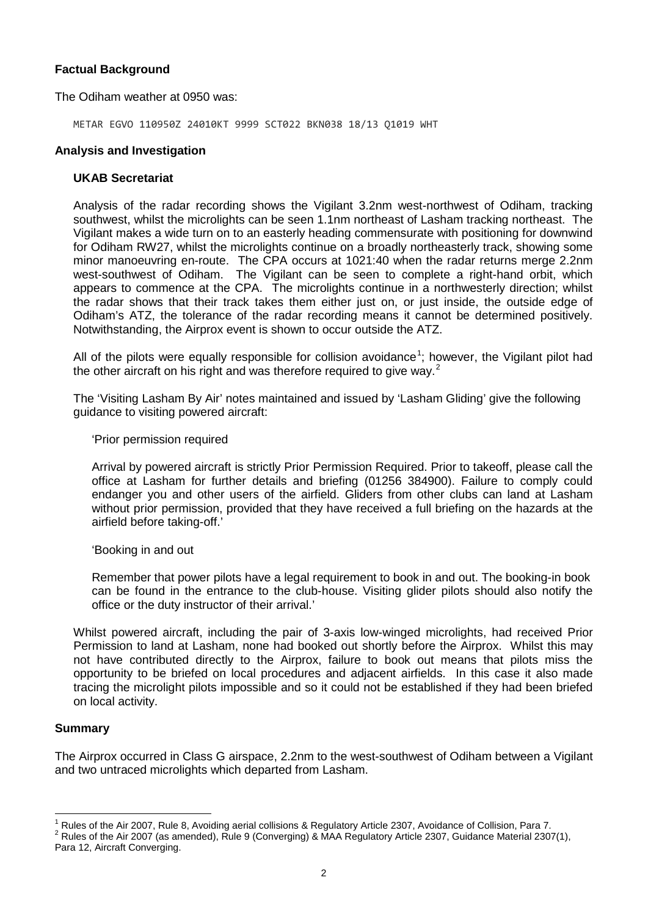## **Factual Background**

The Odiham weather at 0950 was:

METAR EGVO 110950Z 24010KT 9999 SCT022 BKN038 18/13 Q1019 WHT

#### **Analysis and Investigation**

#### **UKAB Secretariat**

Analysis of the radar recording shows the Vigilant 3.2nm west-northwest of Odiham, tracking southwest, whilst the microlights can be seen 1.1nm northeast of Lasham tracking northeast. The Vigilant makes a wide turn on to an easterly heading commensurate with positioning for downwind for Odiham RW27, whilst the microlights continue on a broadly northeasterly track, showing some minor manoeuvring en-route. The CPA occurs at 1021:40 when the radar returns merge 2.2nm west-southwest of Odiham. The Vigilant can be seen to complete a right-hand orbit, which appears to commence at the CPA. The microlights continue in a northwesterly direction; whilst the radar shows that their track takes them either just on, or just inside, the outside edge of Odiham's ATZ, the tolerance of the radar recording means it cannot be determined positively. Notwithstanding, the Airprox event is shown to occur outside the ATZ.

All of the pilots were equally responsible for collision avoidance<sup>[1](#page-1-0)</sup>; however, the Vigilant pilot had the other aircraft on his right and was therefore required to give way.<sup>[2](#page-1-1)</sup>

The 'Visiting Lasham By Air' notes maintained and issued by 'Lasham Gliding' give the following guidance to visiting powered aircraft:

'Prior permission required

Arrival by powered aircraft is strictly Prior Permission Required. Prior to takeoff, please call the office at Lasham for further details and briefing (01256 384900). Failure to comply could endanger you and other users of the airfield. Gliders from other clubs can land at Lasham without prior permission, provided that they have received a full briefing on the hazards at the airfield before taking-off.'

'Booking in and out

Remember that power pilots have a legal requirement to book in and out. The booking-in book can be found in the entrance to the club-house. Visiting glider pilots should also notify the office or the duty instructor of their arrival.'

Whilst powered aircraft, including the pair of 3-axis low-winged microlights, had received Prior Permission to land at Lasham, none had booked out shortly before the Airprox. Whilst this may not have contributed directly to the Airprox, failure to book out means that pilots miss the opportunity to be briefed on local procedures and adjacent airfields. In this case it also made tracing the microlight pilots impossible and so it could not be established if they had been briefed on local activity.

### **Summary**

The Airprox occurred in Class G airspace, 2.2nm to the west-southwest of Odiham between a Vigilant and two untraced microlights which departed from Lasham.

<span id="page-1-0"></span><sup>&</sup>lt;sup>1</sup> Rules of the Air 2007, Rule 8, Avoiding aerial collisions & Regulatory Article 2307, Avoidance of Collision, Para 7.<br><sup>2</sup> Rules of the Air 2007 (as amended), Rule 9 (Converging) & MAA Regulatory Article 2307, Guidance

<span id="page-1-1"></span>Para 12, Aircraft Converging.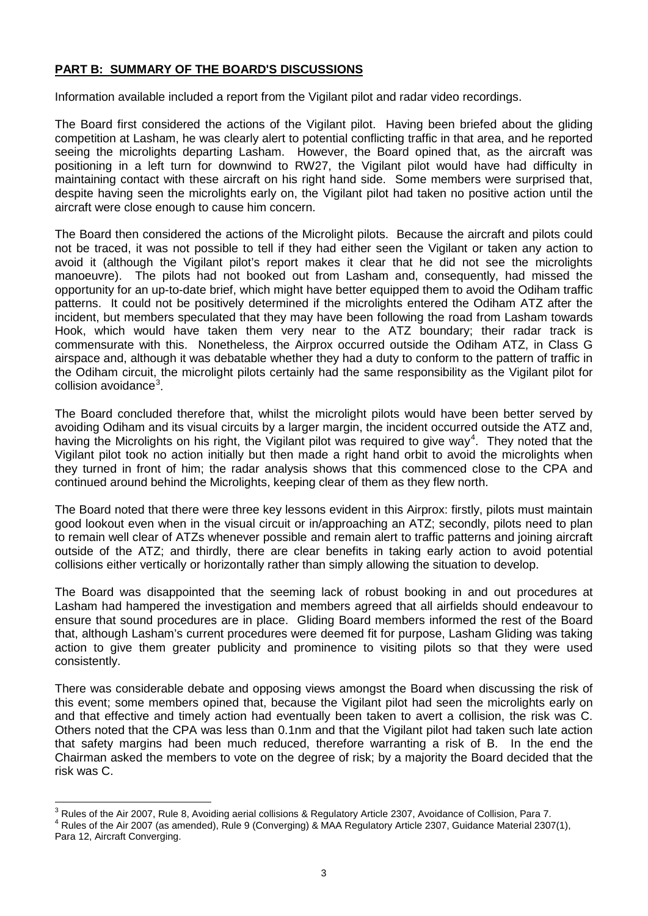# **PART B: SUMMARY OF THE BOARD'S DISCUSSIONS**

Information available included a report from the Vigilant pilot and radar video recordings.

The Board first considered the actions of the Vigilant pilot. Having been briefed about the gliding competition at Lasham, he was clearly alert to potential conflicting traffic in that area, and he reported seeing the microlights departing Lasham. However, the Board opined that, as the aircraft was positioning in a left turn for downwind to RW27, the Vigilant pilot would have had difficulty in maintaining contact with these aircraft on his right hand side. Some members were surprised that, despite having seen the microlights early on, the Vigilant pilot had taken no positive action until the aircraft were close enough to cause him concern.

The Board then considered the actions of the Microlight pilots. Because the aircraft and pilots could not be traced, it was not possible to tell if they had either seen the Vigilant or taken any action to avoid it (although the Vigilant pilot's report makes it clear that he did not see the microlights manoeuvre). The pilots had not booked out from Lasham and, consequently, had missed the opportunity for an up-to-date brief, which might have better equipped them to avoid the Odiham traffic patterns. It could not be positively determined if the microlights entered the Odiham ATZ after the incident, but members speculated that they may have been following the road from Lasham towards Hook, which would have taken them very near to the ATZ boundary; their radar track is commensurate with this. Nonetheless, the Airprox occurred outside the Odiham ATZ, in Class G airspace and, although it was debatable whether they had a duty to conform to the pattern of traffic in the Odiham circuit, the microlight pilots certainly had the same responsibility as the Vigilant pilot for collision avoidance<sup>[3](#page-2-0)</sup>.

The Board concluded therefore that, whilst the microlight pilots would have been better served by avoiding Odiham and its visual circuits by a larger margin, the incident occurred outside the ATZ and, having the Microlights on his right, the Vigilant pilot was required to give way<sup>[4](#page-2-1)</sup>. They noted that the Vigilant pilot took no action initially but then made a right hand orbit to avoid the microlights when they turned in front of him; the radar analysis shows that this commenced close to the CPA and continued around behind the Microlights, keeping clear of them as they flew north.

The Board noted that there were three key lessons evident in this Airprox: firstly, pilots must maintain good lookout even when in the visual circuit or in/approaching an ATZ; secondly, pilots need to plan to remain well clear of ATZs whenever possible and remain alert to traffic patterns and joining aircraft outside of the ATZ; and thirdly, there are clear benefits in taking early action to avoid potential collisions either vertically or horizontally rather than simply allowing the situation to develop.

The Board was disappointed that the seeming lack of robust booking in and out procedures at Lasham had hampered the investigation and members agreed that all airfields should endeavour to ensure that sound procedures are in place. Gliding Board members informed the rest of the Board that, although Lasham's current procedures were deemed fit for purpose, Lasham Gliding was taking action to give them greater publicity and prominence to visiting pilots so that they were used consistently.

There was considerable debate and opposing views amongst the Board when discussing the risk of this event; some members opined that, because the Vigilant pilot had seen the microlights early on and that effective and timely action had eventually been taken to avert a collision, the risk was C. Others noted that the CPA was less than 0.1nm and that the Vigilant pilot had taken such late action that safety margins had been much reduced, therefore warranting a risk of B. In the end the Chairman asked the members to vote on the degree of risk; by a majority the Board decided that the risk was C.

<span id="page-2-0"></span> $3$  Rules of the Air 2007, Rule 8, Avoiding aerial collisions & Regulatory Article 2307, Avoidance of Collision, Para 7.<br> $4$  Rules of the Air 2007 (as amended), Rule 9 (Converging) & MAA Regulatory Article 2307, Guidance

<span id="page-2-1"></span>Para 12, Aircraft Converging.